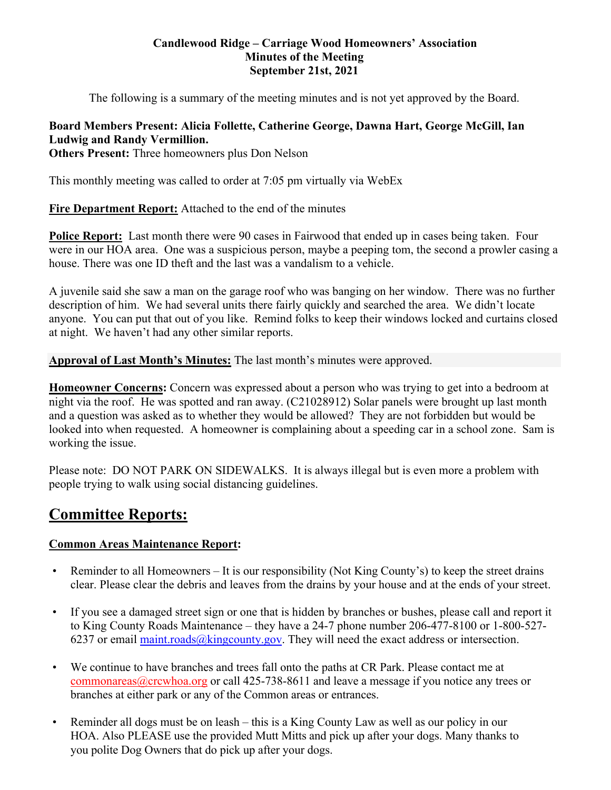#### **Candlewood Ridge – Carriage Wood Homeowners' Association Minutes of the Meeting September 21st, 2021**

The following is a summary of the meeting minutes and is not yet approved by the Board.

# **Board Members Present: Alicia Follette, Catherine George, Dawna Hart, George McGill, Ian Ludwig and Randy Vermillion.**

**Others Present:** Three homeowners plus Don Nelson

This monthly meeting was called to order at 7:05 pm virtually via WebEx

**Fire Department Report:** Attached to the end of the minutes

**Police Report:** Last month there were 90 cases in Fairwood that ended up in cases being taken. Four were in our HOA area. One was a suspicious person, maybe a peeping tom, the second a prowler casing a house. There was one ID theft and the last was a vandalism to a vehicle.

A juvenile said she saw a man on the garage roof who was banging on her window. There was no further description of him. We had several units there fairly quickly and searched the area. We didn't locate anyone. You can put that out of you like. Remind folks to keep their windows locked and curtains closed at night. We haven't had any other similar reports.

**Approval of Last Month's Minutes:** The last month's minutes were approved.

**Homeowner Concerns:** Concern was expressed about a person who was trying to get into a bedroom at night via the roof. He was spotted and ran away. (C21028912) Solar panels were brought up last month and a question was asked as to whether they would be allowed? They are not forbidden but would be looked into when requested. A homeowner is complaining about a speeding car in a school zone. Sam is working the issue.

Please note: DO NOT PARK ON SIDEWALKS. It is always illegal but is even more a problem with people trying to walk using social distancing guidelines.

# **Committee Reports:**

# **Common Areas Maintenance Report:**

- Reminder to all Homeowners It is our responsibility (Not King County's) to keep the street drains clear. Please clear the debris and leaves from the drains by your house and at the ends of your street.
- If you see a damaged street sign or one that is hidden by branches or bushes, please call and report it to King County Roads Maintenance – they have a 24-7 phone number 206-477-8100 or 1-800-527- 6237 or email maint.roads $@$ kingcounty.gov. They will need the exact address or intersection.
- We continue to have branches and trees fall onto the paths at CR Park. Please contact me at commonareas@crcwhoa.org or call 425-738-8611 and leave a message if you notice any trees or branches at either park or any of the Common areas or entrances.
- Reminder all dogs must be on leash this is a King County Law as well as our policy in our HOA. Also PLEASE use the provided Mutt Mitts and pick up after your dogs. Many thanks to you polite Dog Owners that do pick up after your dogs.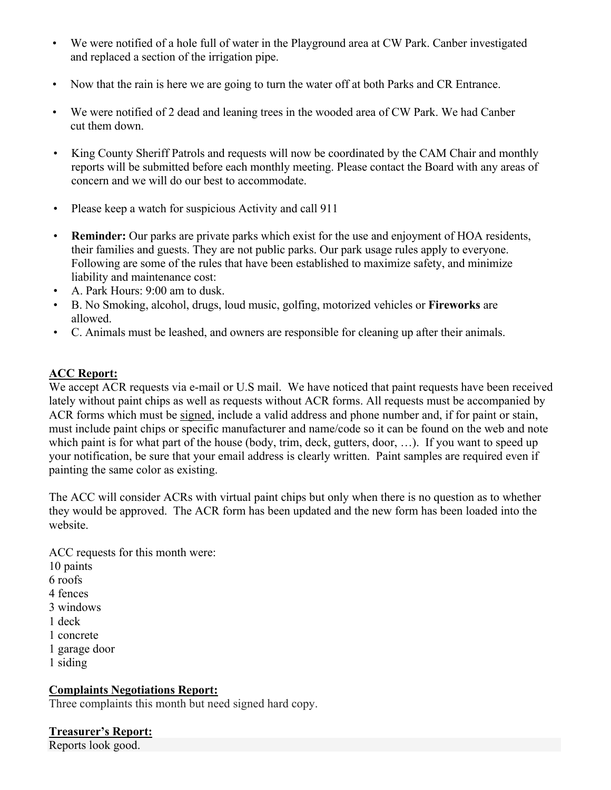- We were notified of a hole full of water in the Playground area at CW Park. Canber investigated and replaced a section of the irrigation pipe.
- Now that the rain is here we are going to turn the water off at both Parks and CR Entrance.
- We were notified of 2 dead and leaning trees in the wooded area of CW Park. We had Canber cut them down.
- King County Sheriff Patrols and requests will now be coordinated by the CAM Chair and monthly reports will be submitted before each monthly meeting. Please contact the Board with any areas of concern and we will do our best to accommodate.
- Please keep a watch for suspicious Activity and call 911
- **Reminder:** Our parks are private parks which exist for the use and enjoyment of HOA residents, their families and guests. They are not public parks. Our park usage rules apply to everyone. Following are some of the rules that have been established to maximize safety, and minimize liability and maintenance cost:
- A. Park Hours: 9:00 am to dusk.
- B. No Smoking, alcohol, drugs, loud music, golfing, motorized vehicles or **Fireworks** are allowed.
- C. Animals must be leashed, and owners are responsible for cleaning up after their animals.

### **ACC Report:**

We accept ACR requests via e-mail or U.S mail. We have noticed that paint requests have been received lately without paint chips as well as requests without ACR forms. All requests must be accompanied by ACR forms which must be signed, include a valid address and phone number and, if for paint or stain, must include paint chips or specific manufacturer and name/code so it can be found on the web and note which paint is for what part of the house (body, trim, deck, gutters, door, …). If you want to speed up your notification, be sure that your email address is clearly written. Paint samples are required even if painting the same color as existing.

The ACC will consider ACRs with virtual paint chips but only when there is no question as to whether they would be approved. The ACR form has been updated and the new form has been loaded into the website.

ACC requests for this month were: 10 paints 6 roofs 4 fences 3 windows 1 deck 1 concrete 1 garage door 1 siding

#### **Complaints Negotiations Report:**

Three complaints this month but need signed hard copy.

# **Treasurer's Report:**

Reports look good.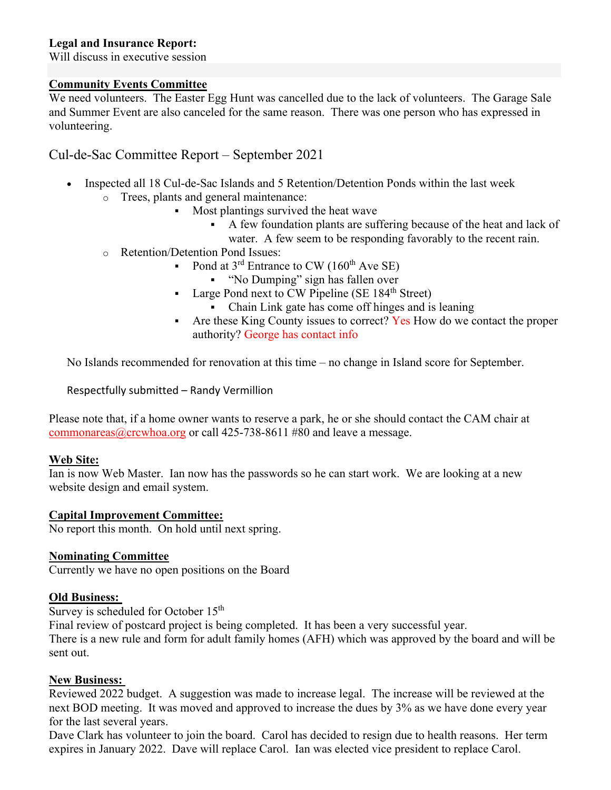#### **Legal and Insurance Report:**

Will discuss in executive session

#### **Community Events Committee**

We need volunteers. The Easter Egg Hunt was cancelled due to the lack of volunteers. The Garage Sale and Summer Event are also canceled for the same reason. There was one person who has expressed in volunteering.

# Cul-de-Sac Committee Report – September 2021

- Inspected all 18 Cul-de-Sac Islands and 5 Retention/Detention Ponds within the last week o Trees, plants and general maintenance:
	- Most plantings survived the heat wave
		- A few foundation plants are suffering because of the heat and lack of water. A few seem to be responding favorably to the recent rain.
	- o Retention/Detention Pond Issues:
		- Pond at  $3^{\text{rd}}$  Entrance to CW (160<sup>th</sup> Ave SE)
			- "No Dumping" sign has fallen over
		- Large Pond next to CW Pipeline (SE  $184<sup>th</sup>$  Street)
			- Chain Link gate has come off hinges and is leaning
		- Are these King County issues to correct? Yes How do we contact the proper authority? George has contact info

No Islands recommended for renovation at this time – no change in Island score for September.

Respectfully submitted – Randy Vermillion

Please note that, if a home owner wants to reserve a park, he or she should contact the CAM chair at commonareas@crcwhoa.org or call 425-738-8611 #80 and leave a message.

#### **Web Site:**

Ian is now Web Master. Ian now has the passwords so he can start work. We are looking at a new website design and email system.

#### **Capital Improvement Committee:**

No report this month. On hold until next spring.

#### **Nominating Committee**

Currently we have no open positions on the Board

#### **Old Business:**

Survey is scheduled for October 15<sup>th</sup>

Final review of postcard project is being completed. It has been a very successful year.

There is a new rule and form for adult family homes (AFH) which was approved by the board and will be sent out.

#### **New Business:**

Reviewed 2022 budget. A suggestion was made to increase legal. The increase will be reviewed at the next BOD meeting. It was moved and approved to increase the dues by 3% as we have done every year for the last several years.

Dave Clark has volunteer to join the board. Carol has decided to resign due to health reasons. Her term expires in January 2022. Dave will replace Carol. Ian was elected vice president to replace Carol.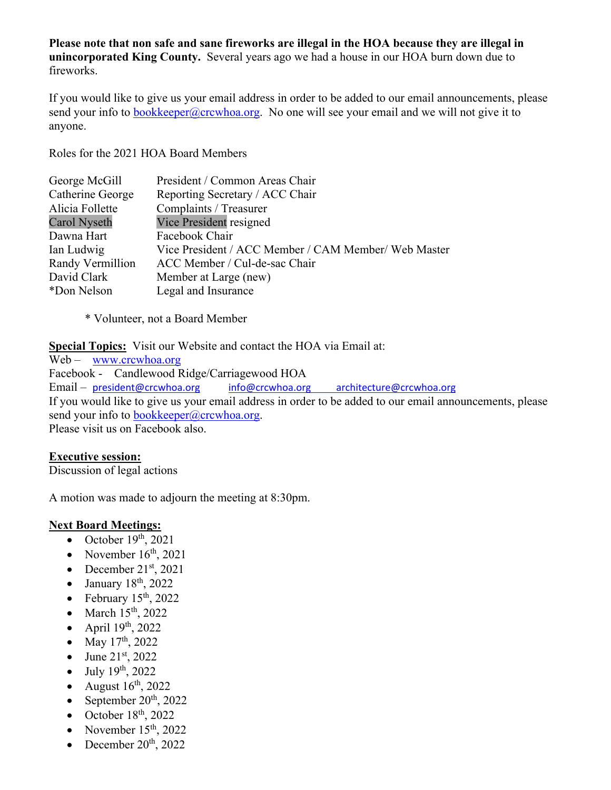**Please note that non safe and sane fireworks are illegal in the HOA because they are illegal in unincorporated King County.** Several years ago we had a house in our HOA burn down due to fireworks.

If you would like to give us your email address in order to be added to our email announcements, please send your info to bookkeeper@crcwhoa.org. No one will see your email and we will not give it to anyone.

Roles for the 2021 HOA Board Members

| George McGill    | President / Common Areas Chair                       |
|------------------|------------------------------------------------------|
| Catherine George | Reporting Secretary / ACC Chair                      |
| Alicia Follette  | Complaints / Treasurer                               |
| Carol Nyseth     | Vice President resigned                              |
| Dawna Hart       | Facebook Chair                                       |
| Ian Ludwig       | Vice President / ACC Member / CAM Member/ Web Master |
| Randy Vermillion | ACC Member / Cul-de-sac Chair                        |
| David Clark      | Member at Large (new)                                |
| *Don Nelson      | Legal and Insurance                                  |
|                  |                                                      |

\* Volunteer, not a Board Member

**Special Topics:** Visit our Website and contact the HOA via Email at:

Web – www.crcwhoa.org Facebook - Candlewood Ridge/Carriagewood HOA Email – president@crcwhoa.org info@crcwhoa.org architecture@crcwhoa.org If you would like to give us your email address in order to be added to our email announcements, please send your info to bookkeeper@crcwhoa.org. Please visit us on Facebook also.

#### **Executive session:**

Discussion of legal actions

A motion was made to adjourn the meeting at 8:30pm.

#### **Next Board Meetings:**

- October  $19<sup>th</sup>$ , 2021
- November  $16<sup>th</sup>$ , 2021
- December  $21<sup>st</sup>$ , 2021
- $\bullet$  January 18<sup>th</sup>, 2022
- February  $15<sup>th</sup>$ , 2022
- March  $15<sup>th</sup>$ , 2022
- April  $19<sup>th</sup>$ , 2022
- May  $17^{th}$ , 2022
- June  $21^{st}$ , 2022
- $\bullet$  July 19<sup>th</sup>, 2022
- August  $16^{th}$ , 2022
- September  $20^{th}$ , 2022
- $\bullet$  October 18<sup>th</sup>, 2022
- November  $15<sup>th</sup>$ , 2022
- December  $20^{th}$ ,  $2022$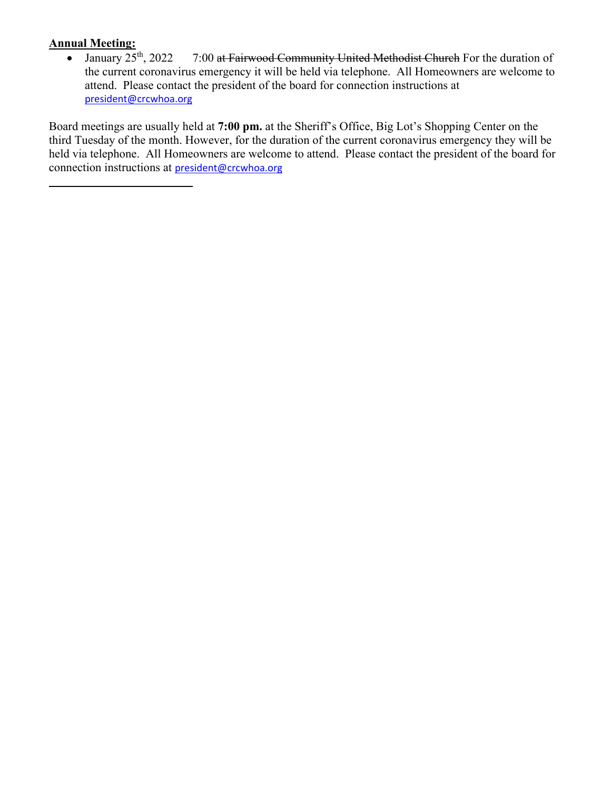Annual Meeting:<br>• January 25<sup>th</sup>, 2022 7:00 at Fairwood Community United Methodist Church For the duration of the current coronavirus emergency it will be held via telephone. All Homeowners are welcome to attend. Please contact the president of the board for connection instructions at president@crcwhoa.org

Board meetings are usually held at **7:00 pm.** at the Sheriff's Office, Big Lot's Shopping Center on the third Tuesday of the month. However, for the duration of the current coronavirus emergency they will be held via telephone. All Homeowners are welcome to attend. Please contact the president of the board for connection instructions at president@crcwhoa.org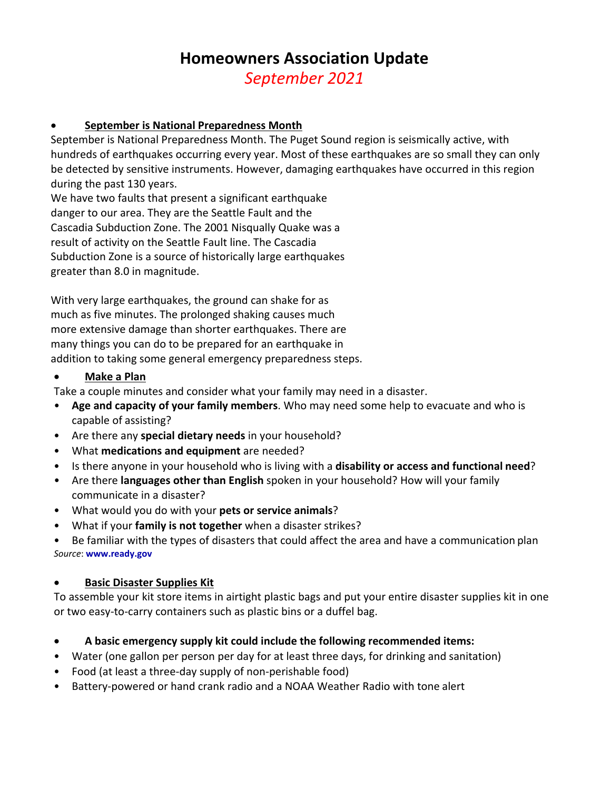# **Homeowners Association Update** *September 2021*

# **September is National Preparedness Month**

September is National Preparedness Month. The Puget Sound region is seismically active, with hundreds of earthquakes occurring every year. Most of these earthquakes are so small they can only be detected by sensitive instruments. However, damaging earthquakes have occurred in this region during the past 130 years.

We have two faults that present a significant earthquake danger to our area. They are the Seattle Fault and the Cascadia Subduction Zone. The 2001 Nisqually Quake was a result of activity on the Seattle Fault line. The Cascadia Subduction Zone is a source of historically large earthquakes greater than 8.0 in magnitude.

With very large earthquakes, the ground can shake for as much as five minutes. The prolonged shaking causes much more extensive damage than shorter earthquakes. There are many things you can do to be prepared for an earthquake in addition to taking some general emergency preparedness steps.

#### **Make a Plan**

- Take a couple minutes and consider what your family may need in a disaster.
- **Age and capacity of your family members**. Who may need some help to evacuate and who is capable of assisting?
- Are there any **special dietary needs** in your household?
- What **medications and equipment** are needed?
- Is there anyone in your household who is living with a **disability or access and functional need**?
- Are there **languages other than English** spoken in your household? How will your family communicate in a disaster?
- What would you do with your **pets or service animals**?
- What if your **family is not together** when a disaster strikes?

• Be familiar with the types of disasters that could affect the area and have a communication plan *Source*: **www.ready.gov**

#### **Basic Disaster Supplies Kit**

To assemble your kit store items in airtight plastic bags and put your entire disaster supplies kit in one or two easy‐to‐carry containers such as plastic bins or a duffel bag.

- **A basic emergency supply kit could include the following recommended items:**
- Water (one gallon per person per day for at least three days, for drinking and sanitation)
- Food (at least a three‐day supply of non‐perishable food)
- Battery‐powered or hand crank radio and a NOAA Weather Radio with tone alert